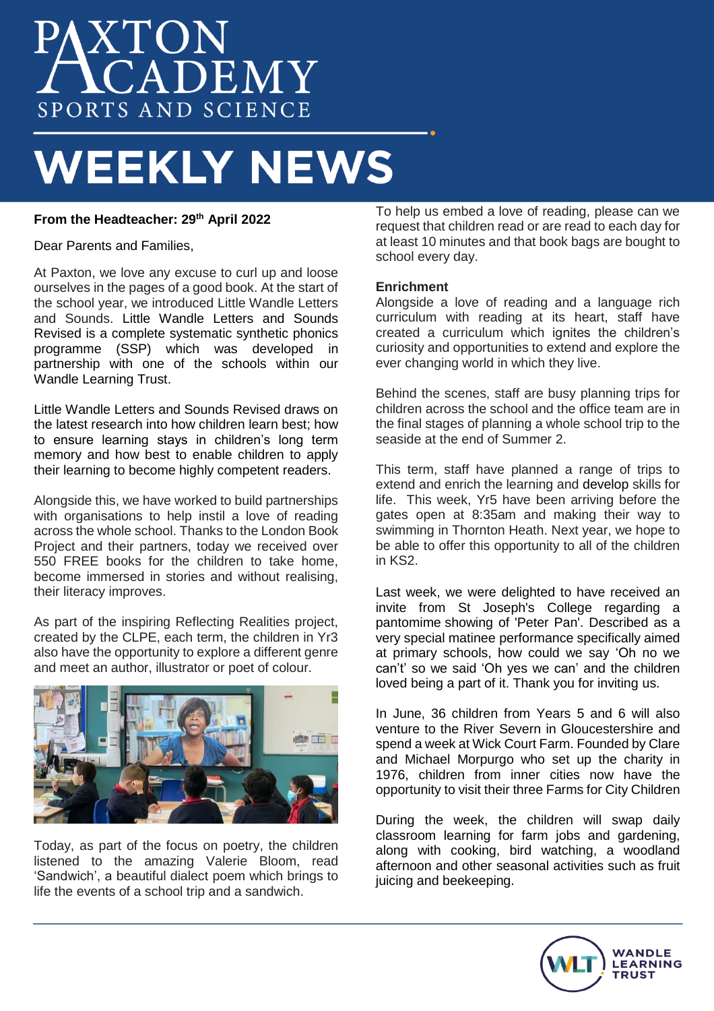# AXTON<br>ACADEMY SPORTS AND SCIENCE

## **WEEKLY NEWS**

### **From the Headteacher: 29th April 2022**

Dear Parents and Families,

At Paxton, we love any excuse to curl up and loose ourselves in the pages of a good book. At the start of the school year, we introduced Little Wandle Letters and Sounds. Little Wandle Letters and Sounds Revised is a complete systematic synthetic phonics programme (SSP) which was developed in partnership with one of the schools within our Wandle Learning Trust.

Little Wandle Letters and Sounds Revised draws on the latest research into how children learn best; how to ensure learning stays in children's long term memory and how best to enable children to apply their learning to become highly competent readers.

Alongside this, we have worked to build partnerships with organisations to help instil a love of reading across the whole school. Thanks to the London Book Project and their partners, today we received over 550 FREE books for the children to take home, become immersed in stories and without realising, their literacy improves.

As part of the inspiring Reflecting Realities project, created by the CLPE, each term, the children in Yr3 also have the opportunity to explore a different genre and meet an author, illustrator or poet of colour.



Today, as part of the focus on poetry, the children listened to the amazing Valerie Bloom, read 'Sandwich', a beautiful dialect poem which brings to life the events of a school trip and a sandwich.

To help us embed a love of reading, please can we request that children read or are read to each day for at least 10 minutes and that book bags are bought to school every day.

#### **Enrichment**

Alongside a love of reading and a language rich curriculum with reading at its heart, staff have created a curriculum which ignites the children's curiosity and opportunities to extend and explore the ever changing world in which they live.

Behind the scenes, staff are busy planning trips for children across the school and the office team are in the final stages of planning a whole school trip to the seaside at the end of Summer 2.

This term, staff have planned a range of trips to extend and enrich the learning and develop skills for life. This week, Yr5 have been arriving before the gates open at 8:35am and making their way to swimming in Thornton Heath. Next year, we hope to be able to offer this opportunity to all of the children in KS2.

Last week, we were delighted to have received an invite from St Joseph's College regarding a pantomime showing of 'Peter Pan'. Described as a very special matinee performance specifically aimed at primary schools, how could we say 'Oh no we can't' so we said 'Oh yes we can' and the children loved being a part of it. Thank you for inviting us.

In June, 36 children from Years 5 and 6 will also venture to the River Severn in Gloucestershire and spend a week at Wick Court Farm. Founded by Clare and Michael Morpurgo who set up the charity in 1976, children from inner cities now have the opportunity to visit their three Farms for City Children

During the week, the children will swap daily classroom learning for farm jobs and gardening, along with cooking, bird watching, a woodland afternoon and other seasonal activities such as fruit juicing and beekeeping.